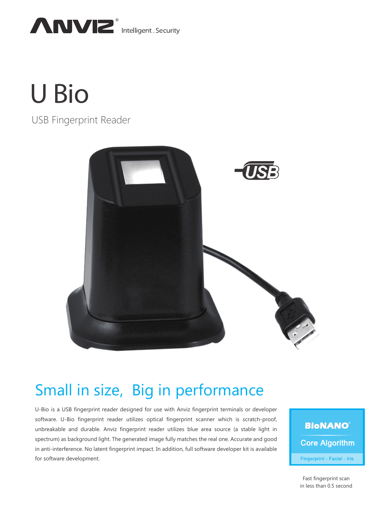

# **U Bio**

# USB Fingerprint Reader



# Small in size, Big in performance

U-Bio is a USB fingerprint reader designed for use with Anviz fingerprint terminals or developer software. U-Bio fingerprint reader utilizes optical fingerprint scanner which is scratch-proof, unbreakable and durable. Anviz fingerprint reader utilizes blue area source (a stable light in spectrum) as background light. The generated image fully matches the real one. Accurate and good in anti-interference. No latent fingerprint impact. In addition, full software developer kit is available for software development.

**BioNANO Core Algorithm** Fingerprint - Facial - Iris

Fast fingerprint scan in less than 0.5 second